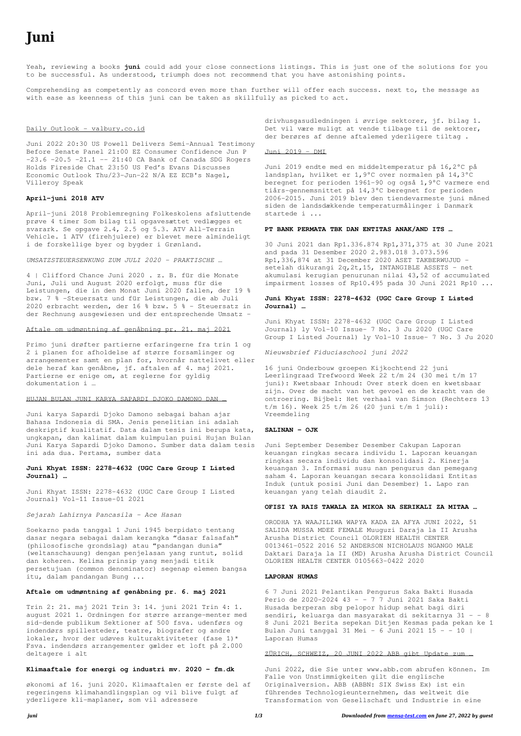# **Juni**

Yeah, reviewing a books **juni** could add your close connections listings. This is just one of the solutions for you to be successful. As understood, triumph does not recommend that you have astonishing points.

Comprehending as competently as concord even more than further will offer each success. next to, the message as with ease as keenness of this juni can be taken as skillfully as picked to act.

## Daily Outlook - valbury.co.id

4 | Clifford Chance Juni 2020 . z. B. für die Monate Juni, Juli und August 2020 erfolgt, muss für die Leistungen, die in den Monat Juni 2020 fallen, der 19 % bzw. 7 % -Steuersatz und für Leistungen, die ab Juli 2020 erbracht werden, der 16 % bzw. 5 % - Steuersatz in der Rechnung ausgewiesen und der entsprechende Umsatz -

Juni 2022 20:30 US Powell Delivers Semi-Annual Testimony Before Senate Panel 21:00 EZ Consumer Confidence Jun P  $-23.6$   $-20.5$   $-21.1$   $21:40$  CA Bank of Canada SDG Rogers Holds Fireside Chat 23:50 US Fed's Evans Discusses Economic Outlook Thu/23-Jun-22 N/A EZ ECB's Nagel, Villeroy Speak

## **April-juni 2018 ATV**

April-juni 2018 Problemregning Folkeskolens afsluttende prøve 4 timer Som bilag til opgavesættet vedlægges et svarark. Se opgave 2.4, 2.5 og 5.3. ATV All-Terrain Vehicle. 1 ATV (firehjulere) er blevet mere almindeligt i de forskellige byer og bygder i Grønland.

*UMSATZSTEUERSENKUNG ZUM JULI 2020 – PRAKTISCHE …*

## Aftale om udmøntning af genåbning pr. 21. maj 2021

Primo juni drøfter partierne erfaringerne fra trin 1 og 2 i planen for afholdelse af større forsamlinger og arrangementer samt en plan for, hvornår nattelivet eller dele heraf kan genåbne, jf. aftalen af 4. maj 2021. Partierne er enige om, at reglerne for gyldig dokumentation i …

#### HUJAN BULAN JUNI KARYA SAPARDI DJOKO DAMONO DAN …

Juni karya Sapardi Djoko Damono sebagai bahan ajar Bahasa Indonesia di SMA. Jenis penelitian ini adalah deskriptif kualitatif. Data dalam tesis ini berupa kata, ungkapan, dan kalimat dalam kulmpulan puisi Hujan Bulan Juni Karya Sapardi Djoko Damono. Sumber data dalam tesis ini ada dua. Pertama, sumber data

# **Juni Khyat ISSN: 2278-4632 (UGC Care Group I Listed Journal) …**

Juni Khyat ISSN: 2278-4632 (UGC Care Group I Listed Journal) Vol-11 Issue-01 2021

*Sejarah Lahirnya Pancasila - Ace Hasan*

Soekarno pada tanggal 1 Juni 1945 berpidato tentang dasar negara sebagai dalam kerangka "dasar falsafah" (philosofische grondslag) atau "pandangan dunia" (weltanschauung) dengan penjelasan yang runtut, solid dan koheren. Kelima prinsip yang menjadi titik persetujuan (common denominator) segenap elemen bangsa itu, dalam pandangan Bung ...

## **Aftale om udmøntning af genåbning pr. 6. maj 2021**

Trin 2: 21. maj 2021 Trin 3: 14. juni 2021 Trin 4: 1. august 2021 1. Ordningen for større arrange-menter med sid-dende publikum Sektioner af 500 fsva. udenførs og indendørs spillesteder, teatre, biografer og andre lokaler, hvor der udøves kulturaktiviteter (fase 1)\* Fsva. indendørs arrangementer gælder et loft på 2.000 deltagere i alt

#### **Klimaaftale for energi og industri mv. 2020 - fm.dk**

økonomi af 16. juni 2020. Klimaaftalen er første del af regeringens klimahandlingsplan og vil blive fulgt af yderligere kli-maplaner, som vil adressere

drivhusgasudledningen i øvrige sektorer, jf. bilag 1. Det vil være muligt at vende tilbage til de sektorer, der berøres af denne aftalemed yderligere tiltag .

Juni 2019 - DMI

Juni 2019 endte med en middeltemperatur på 16,2°C på landsplan, hvilket er 1,9°C over normalen på 14,3°C beregnet for perioden 1961-90 og også 1,9°C varmere end tiårs-gennemsnittet på 14,3°C beregnet for perioden 2006-2015. Juni 2019 blev den tiendevarmeste juni måned siden de landsdækkende temperaturmålinger i Danmark startede i ...

## **PT BANK PERMATA TBK DAN ENTITAS ANAK/AND ITS …**

30 Juni 2021 dan Rp1.336.874 Rp1,371,375 at 30 June 2021 and pada 31 Desember 2020 2.983.018 3.073.596 Rp1,336,874 at 31 December 2020 ASET TAKBERWUJUD setelah dikurangi 2q, 2t, 15, INTANGIBLE ASSETS - net akumulasi kerugian penurunan nilai 43,52 of accumulated impairment losses of Rp10.495 pada 30 Juni 2021 Rp10 ...

# **Juni Khyat ISSN: 2278-4632 (UGC Care Group I Listed Journal) …**

Juni Khyat ISSN: 2278-4632 (UGC Care Group I Listed Journal) ly Vol-10 Issue- 7 No. 3 Ju 2020 (UGC Care Group I Listed Journal) ly Vol-10 Issue- 7 No. 3 Ju 2020

*Nieuwsbrief Fiduciaschool juni 2022*

16 juni Onderbouw groepen Kijkochtend 22 juni Leerlingraad Trefwoord Week 22 t/m 24 (30 mei t/m 17 juni): Kwetsbaar Inhoud: Over sterk doen en kwetsbaar zijn. Over de macht van het gevoel en de kracht van de ontroering. Bijbel: Het verhaal van Simson (Rechters 13 t/m 16). Week 25 t/m 26 (20 juni t/m 1 juli): Vreemdeling

## **SALINAN - OJK**

Juni September Desember Desember Cakupan Laporan keuangan ringkas secara individu 1. Laporan keuangan ringkas secara individu dan konsolidasi 2. Kinerja keuangan 3. Informasi susu nan pengurus dan pemegang saham 4. Laporan keuangan secara konsolidasi Entitas Induk (untuk posisi Juni dan Desember) 1. Lapo ran keuangan yang telah diaudit 2.

#### **OFISI YA RAIS TAWALA ZA MIKOA NA SERIKALI ZA MITAA …**

ORODHA YA WAAJILIWA WAPYA KADA ZA AFYA JUNI 2022, 51 SALIDA MUSSA MDEE FEMALE Muuguzi Daraja la II Arusha Arusha District Council OLORIEN HEALTH CENTER 0013461-0522 2016 52 ANDERSON NICHOLAUS NGANGO MALE Daktari Daraja la II (MD) Arusha Arusha District Council OLORIEN HEALTH CENTER 0105663-0422 2020

## **LAPORAN HUMAS**

6 7 Juni 2021 Pelantikan Pengurus Saka Bakti Husada Perio de 2020-2024 43 - - 7 7 Juni 2021 Saka Bakti Husada berperan sbg pelopor hidup sehat bagi diri sendiri, keluarga dan masyarakat di sekitarnya 31 - - 8 8 Juni 2021 Berita sepekan Ditjen Kesmas pada pekan ke 1 Bulan Juni tanggal 31 Mei - 6 Juni 2021 15 - - 10 | Laporan Humas

#### ZÜRICH, SCHWEIZ, 20 JUNI 2022 ABB gibt Update zum …

Juni 2022, die Sie unter www.abb.com abrufen können. Im Falle von Unstimmigkeiten gilt die englische Originalversion. ABB (ABBN: SIX Swiss Ex) ist ein führendes Technologieunternehmen, das weltweit die Transformation von Gesellschaft und Industrie in eine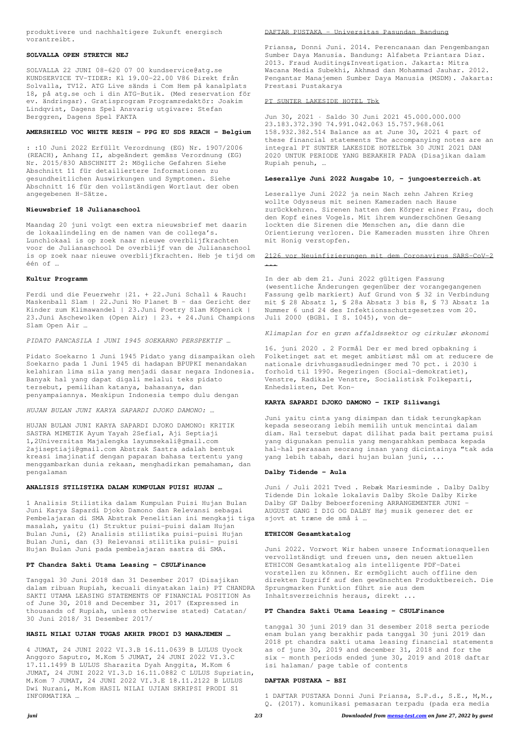produktivere und nachhaltigere Zukunft energisch vorantreibt.

#### **SOLVALLA OPEN STRETCH NEJ**

SOLVALLA 22 JUNI 08-620 07 00 kundservice@atg.se KUNDSERVICE TV-TIDER: Kl 19.00-22.00 V86 Direkt från Solvalla, TV12. ATG Live sänds i Com Hem på kanalplats 18, på atg.se och i din ATG-Butik. (Med reservation för ev. ändringar). Gratisprogram Programredaktör: Joakim Lindqvist, Dagens Spel Ansvarig utgivare: Stefan Berggren, Dagens Spel FAKTA

# **AMERSHIELD VOC WHITE RESIN - PPG EU SDS REACH - Belgium**

: :10 Juni 2022 Erfüllt Verordnung (EG) Nr. 1907/2006 (REACH), Anhang II, abgeändert gemäss Verordnung (EG) Nr. 2015/830 ABSCHNITT 2: Mögliche Gefahren Siehe Abschnitt 11 für detailiertere Informationen zu gesundheitlichen Auswirkungen und Symptomen. Siehe Abschnitt 16 für den vollständigen Wortlaut der oben angegebenen H-Sätze.

## **Nieuwsbrief 18 Julianaschool**

Maandag 20 juni volgt een extra nieuwsbrief met daarin de lokaalindeling en de namen van de collega's. Lunchlokaal is op zoek naar nieuwe overblijfkrachten voor de Julianaschool De overblijf van de Julianaschool is op zoek naar nieuwe overblijfkrachten. Heb je tijd om één of …

## **Kultur Programm**

Ferdi und die Feuerwehr |21. + 22.Juni Schall & Rauch: Maskenball Slam | 22.Juni No Planet B – das Gericht der Kinder zum Klimawandel | 23.Juni Poetry Slam Köpenick | 23.Juni Aschewolken (Open Air) | 23. + 24.Juni Champions Slam Open Air …

*PIDATO PANCASILA 1 JUNI 1945 SOEKARNO PERSPEKTIF …*

Pidato Soekarno 1 Juni 1945 Pidato yang disampaikan oleh Soekarno pada 1 Juni 1945 di hadapan BPUPKI menandakan kelahiran lima sila yang menjadi dasar negara Indonesia. Banyak hal yang dapat digali melalui teks pidato tersebut, pemilihan katanya, bahasanya, dan penyampaiannya. Meskipun Indonesia tempo dulu dengan

*HUJAN BULAN JUNI KARYA SAPARDI DJOKO DAMONO: …*

HUJAN BULAN JUNI KARYA SAPARDI DJOKO DAMONO: KRITIK SASTRA MIMETIK Ayum Yayah 2Sefia1, Aji Septiaji 1,2Universitas Majalengka 1ayumsekali@gmail.com 2ajiseptiaji@gmail.com Abstrak Sastra adalah bentuk kreasi imajinatif dengan paparan bahasa tertentu yang menggambarkan dunia rekaan, menghadirkan pemahaman, dan pengalaman

### **ANALISIS STILISTIKA DALAM KUMPULAN PUISI HUJAN …**

1 Analisis Stilistika dalam Kumpulan Puisi Hujan Bulan Juni Karya Sapardi Djoko Damono dan Relevansi sebagai Pembelajaran di SMA Abstrak Penelitian ini mengkaji tiga masalah, yaitu (1) Struktur puisi-puisi dalam Hujan Bulan Juni, (2) Analisis stilistika puisi-puisi Hujan Bulan Juni, dan (3) Relevansi stilitika puisi- puisi Hujan Bulan Juni pada pembelajaran sastra di SMA.

## **PT Chandra Sakti Utama Leasing - CSULFinance**

Tanggal 30 Juni 2018 dan 31 Desember 2017 (Disajikan dalam ribuan Rupiah, kecuali dinyatakan lain) PT CHANDRA SAKTI UTAMA LEASING STATEMENTS OF FINANCIAL POSITION As of June 30, 2018 and December 31, 2017 (Expressed in thousands of Rupiah, unless otherwise stated) Catatan/ 30 Juni 2018/ 31 Desember 2017/

## **HASIL NILAI UJIAN TUGAS AKHIR PRODI D3 MANAJEMEN …**

4 JUMAT, 24 JUNI 2022 VI.3.B 16.11.0639 B LULUS Uyock Anggoro Saputro, M.Kom 5 JUMAT, 24 JUNI 2022 VI.3.C 17.11.1499 B LULUS Sharazita Dyah Anggita, M.Kom 6 JUMAT, 24 JUNI 2022 VI.3.D 16.11.0882 C LULUS Supriatin, M.Kom 7 JUMAT, 24 JUNI 2022 VI.3.E 18.11.2122 B LULUS Dwi Nurani, M.Kom HASIL NILAI UJIAN SKRIPSI PRODI S1 INFORMATIKA …

#### DAFTAR PUSTAKA - Universitas Pasundan Bandung

Priansa, Donni Juni. 2014. Perencanaan dan Pengembangan Sumber Daya Manusia. Bandung: Alfabeta Priantara Diaz. 2013. Fraud Auditing&Investigation. Jakarta: Mitra Wacana Media Subekhi, Akhmad dan Mohammad Jauhar. 2012. Pengantar Manajemen Sumber Daya Manusia (MSDM). Jakarta: Prestasi Pustakarya

#### PT SUNTER LAKESIDE HOTEL Tbk

Jun 30, 2021 · Saldo 30 Juni 2021 45.000.000.000 23.183.372.390 74.991.042.063 15.757.968.061 158.932.382.514 Balance as at June 30, 2021 4 part of these financial statements The accompanying notes are an integral PT SUNTER LAKESIDE HOTELTbk 30 JUNI 2021 DAN 2020 UNTUK PERIODE YANG BERAKHIR PADA (Disajikan dalam Rupiah penuh, …

## **Leserallye Juni 2022 Ausgabe 10, - jungoesterreich.at**

Leserallye Juni 2022 ja nein Nach zehn Jahren Krieg wollte Odysseus mit seinen Kameraden nach Hause zurückkehren. Sirenen hatten den Körper einer Frau, doch den Kopf eines Vogels. Mit ihrem wunderschönen Gesang lockten die Sirenen die Menschen an, die dann die Orientierung verloren. Die Kameraden mussten ihre Ohren mit Honig verstopfen.

2126 vor Neuinfizierungen mit dem Coronavirus SARS-CoV-2 ...

In der ab dem 21. Juni 2022 gültigen Fassung (wesentliche Änderungen gegenüber der vorangegangenen Fassung gelb markiert) Auf Grund von § 32 in Verbindung mit § 28 Absatz 1, § 28a Absatz 3 bis 8, § 73 Absatz 1a Nummer 6 und 24 des Infektionsschutzgesetzes vom 20. Juli 2000 (BGBl. I S. 1045), von de-

*Klimaplan for en grøn affaldssektor og cirkulær økonomi*

16. juni 2020 . 2 Formål Der er med bred opbakning i Folketinget sat et meget ambitiøst mål om at reducere de nationale drivhusgasudledninger med 70 pct. i 2030 i forhold til 1990. Regeringen (Social-demokratiet), Venstre, Radikale Venstre, Socialistisk Folkeparti, Enhedslisten, Det Kon-

## **KARYA SAPARDI DJOKO DAMONO - IKIP Siliwangi**

Juni yaitu cinta yang disimpan dan tidak terungkapkan kepada seseorang lebih memilih untuk mencintai dalam diam. Hal tersebut dapat dilihat pada bait pertama puisi yang digunakan penulis yang mengarahkan pembaca kepada hal-hal perasaan seorang insan yang dicintainya "tak ada yang lebih tabah, dari hujan bulan juni, ...

## **Dalby Tidende - Aula**

Juni / Juli 2021 Tved . Rebæk Mariesminde . Dalby Dalby Tidende Din lokale lokalavis Dalby Skole Dalby Kirke Dalby GF Dalby Beboerforening ARRANGEMENTER JUNI – AUGUST GANG I DIG OG DALBY Høj musik generer det er sjovt at træne de små i …

## **ETHICON Gesamtkatalog**

Juni 2022. Vorwort Wir haben unsere Informationsquellen vervollständigt und freuen uns, den neuen aktuellen ETHICON Gesamtkatalog als intelligente PDF-Datei vorstellen zu können. Er ermöglicht auch offline den direkten Zugriff auf den gewünschten Produktbereich. Die Sprungmarken Funktion führt sie aus dem Inhaltsverzeichnis heraus, direkt ...

## **PT Chandra Sakti Utama Leasing - CSULFinance**

tanggal 30 juni 2019 dan 31 desember 2018 serta periode enam bulan yang berakhir pada tanggal 30 juni 2019 dan 2018 pt chandra sakti utama leasing financial statements as of june 30, 2019 and december 31, 2018 and for the six – month periods ended june 30, 2019 and 2018 daftar isi halaman/ page table of contents

## **DAFTAR PUSTAKA - BSI**

1 DAFTAR PUSTAKA Donni Juni Priansa, S.P.d., S.E., M,M., Q. (2017). komunikasi pemasaran terpadu (pada era media